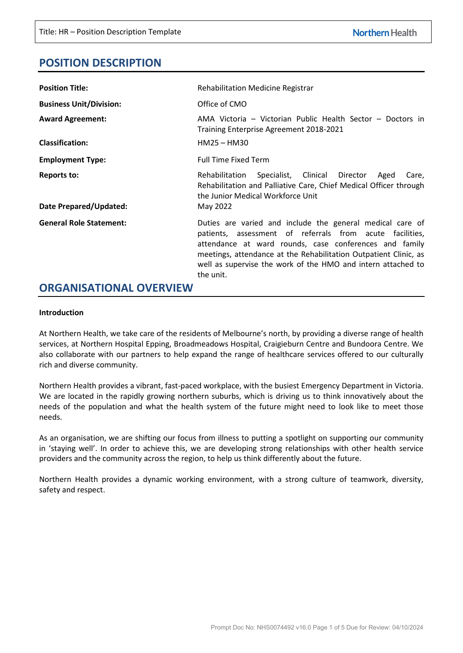# **POSITION DESCRIPTION**

| <b>Position Title:</b>                       | <b>Rehabilitation Medicine Registrar</b>                                                                                                                                                                                                                                                                                         |  |  |  |  |
|----------------------------------------------|----------------------------------------------------------------------------------------------------------------------------------------------------------------------------------------------------------------------------------------------------------------------------------------------------------------------------------|--|--|--|--|
| <b>Business Unit/Division:</b>               | Office of CMO                                                                                                                                                                                                                                                                                                                    |  |  |  |  |
| <b>Award Agreement:</b>                      | AMA Victoria – Victorian Public Health Sector – Doctors in<br>Training Enterprise Agreement 2018-2021                                                                                                                                                                                                                            |  |  |  |  |
| <b>Classification:</b>                       | $HM25 - HM30$                                                                                                                                                                                                                                                                                                                    |  |  |  |  |
| <b>Employment Type:</b>                      | <b>Full Time Fixed Term</b>                                                                                                                                                                                                                                                                                                      |  |  |  |  |
| <b>Reports to:</b><br>Date Prepared/Updated: | Specialist, Clinical Director<br>Rehabilitation<br>Aged<br>Care,<br>Rehabilitation and Palliative Care, Chief Medical Officer through<br>the Junior Medical Workforce Unit<br>May 2022                                                                                                                                           |  |  |  |  |
| <b>General Role Statement:</b>               | Duties are varied and include the general medical care of<br>patients, assessment of referrals from acute facilities,<br>attendance at ward rounds, case conferences and family<br>meetings, attendance at the Rehabilitation Outpatient Clinic, as<br>well as supervise the work of the HMO and intern attached to<br>the unit. |  |  |  |  |

## **ORGANISATIONAL OVERVIEW**

#### **Introduction**

At Northern Health, we take care of the residents of Melbourne's north, by providing a diverse range of health services, at Northern Hospital Epping, Broadmeadows Hospital, Craigieburn Centre and Bundoora Centre. We also collaborate with our partners to help expand the range of healthcare services offered to our culturally rich and diverse community.

Northern Health provides a vibrant, fast-paced workplace, with the busiest Emergency Department in Victoria. We are located in the rapidly growing northern suburbs, which is driving us to think innovatively about the needs of the population and what the health system of the future might need to look like to meet those needs.

As an organisation, we are shifting our focus from illness to putting a spotlight on supporting our community in 'staying well'. In order to achieve this, we are developing strong relationships with other health service providers and the community across the region, to help us think differently about the future.

Northern Health provides a dynamic working environment, with a strong culture of teamwork, diversity, safety and respect.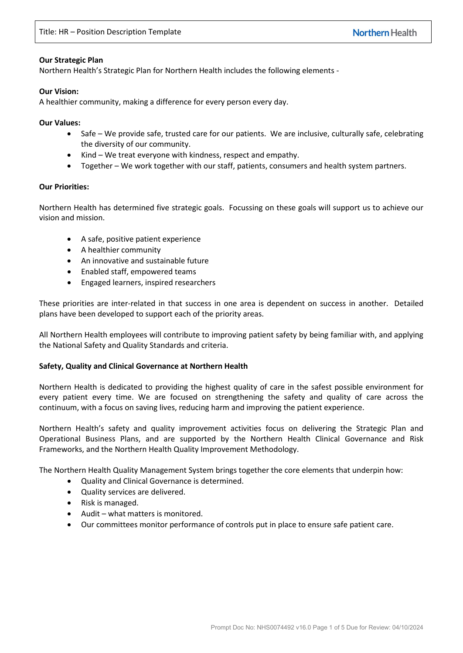#### **Our Strategic Plan**

Northern Health's Strategic Plan for Northern Health includes the following elements -

#### **Our Vision:**

A healthier community, making a difference for every person every day.

**Our Values:**

- Safe We provide safe, trusted care for our patients. We are inclusive, culturally safe, celebrating the diversity of our community.
- Kind We treat everyone with kindness, respect and empathy.
- Together We work together with our staff, patients, consumers and health system partners.

#### **Our Priorities:**

Northern Health has determined five strategic goals. Focussing on these goals will support us to achieve our vision and mission.

- A safe, positive patient experience
- A healthier community
- An innovative and sustainable future
- Enabled staff, empowered teams
- Engaged learners, inspired researchers

These priorities are inter-related in that success in one area is dependent on success in another. Detailed plans have been developed to support each of the priority areas.

All Northern Health employees will contribute to improving patient safety by being familiar with, and applying the National Safety and Quality Standards and criteria.

## **Safety, Quality and Clinical Governance at Northern Health**

Northern Health is dedicated to providing the highest quality of care in the safest possible environment for every patient every time. We are focused on strengthening the safety and quality of care across the continuum, with a focus on saving lives, reducing harm and improving the patient experience.

Northern Health's safety and quality improvement activities focus on delivering the Strategic Plan and Operational Business Plans, and are supported by the Northern Health Clinical Governance and Risk Frameworks, and the Northern Health Quality Improvement Methodology.

The Northern Health Quality Management System brings together the core elements that underpin how:

- Quality and Clinical Governance is determined.
- Quality services are delivered.
- Risk is managed.
- Audit what matters is monitored.
- Our committees monitor performance of controls put in place to ensure safe patient care.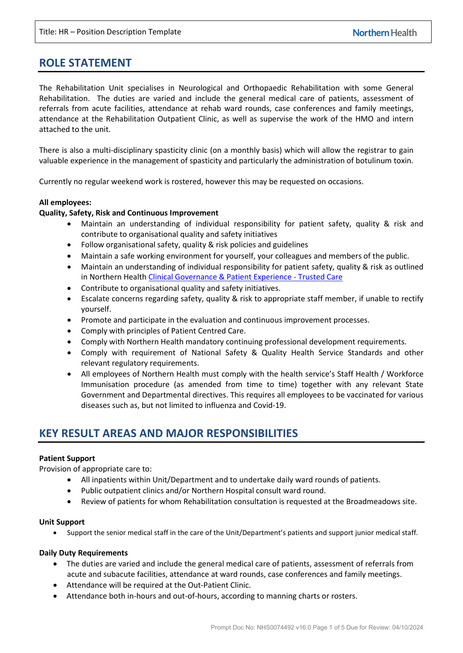# **ROLE STATEMENT**

The Rehabilitation Unit specialises in Neurological and Orthopaedic Rehabilitation with some General Rehabilitation. The duties are varied and include the general medical care of patients, assessment of referrals from acute facilities, attendance at rehab ward rounds, case conferences and family meetings, attendance at the Rehabilitation Outpatient Clinic, as well as supervise the work of the HMO and intern attached to the unit.

There is also a multi-disciplinary spasticity clinic (on a monthly basis) which will allow the registrar to gain valuable experience in the management of spasticity and particularly the administration of botulinum toxin.

Currently no regular weekend work is rostered, however this may be requested on occasions.

#### **All employees:**

#### **Quality, Safety, Risk and Continuous Improvement**

- Maintain an understanding of individual responsibility for patient safety, quality & risk and contribute to organisational quality and safety initiatives
- Follow organisational safety, quality & risk policies and guidelines
- Maintain a safe working environment for yourself, your colleagues and members of the public.
- Maintain an understanding of individual responsibility for patient safety, quality & risk as outlined in Northern Health [Clinical Governance & Patient Experience - Trusted Care](https://app.prompt.org.au/download/81583?code=5b76dc5f2ef044ecffef980c6c27cf22)
- Contribute to organisational quality and safety initiatives.
- Escalate concerns regarding safety, quality & risk to appropriate staff member, if unable to rectify yourself.
- Promote and participate in the evaluation and continuous improvement processes.
- Comply with principles of Patient Centred Care.
- Comply with Northern Health mandatory continuing professional development requirements.
- Comply with requirement of National Safety & Quality Health Service Standards and other relevant regulatory requirements.
- All employees of Northern Health must comply with the health service's Staff Health / Workforce Immunisation procedure (as amended from time to time) together with any relevant State Government and Departmental directives. This requires all employees to be vaccinated for various diseases such as, but not limited to influenza and Covid-19.

## **KEY RESULT AREAS AND MAJOR RESPONSIBILITIES**

## **Patient Support**

Provision of appropriate care to:

- All inpatients within Unit/Department and to undertake daily ward rounds of patients.
- Public outpatient clinics and/or Northern Hospital consult ward round.
- Review of patients for whom Rehabilitation consultation is requested at the Broadmeadows site.

#### **Unit Support**

• Support the senior medical staff in the care of the Unit/Department's patients and support junior medical staff.

#### **Daily Duty Requirements**

- The duties are varied and include the general medical care of patients, assessment of referrals from acute and subacute facilities, attendance at ward rounds, case conferences and family meetings.
- Attendance will be required at the Out-Patient Clinic.
- Attendance both in-hours and out-of-hours, according to manning charts or rosters.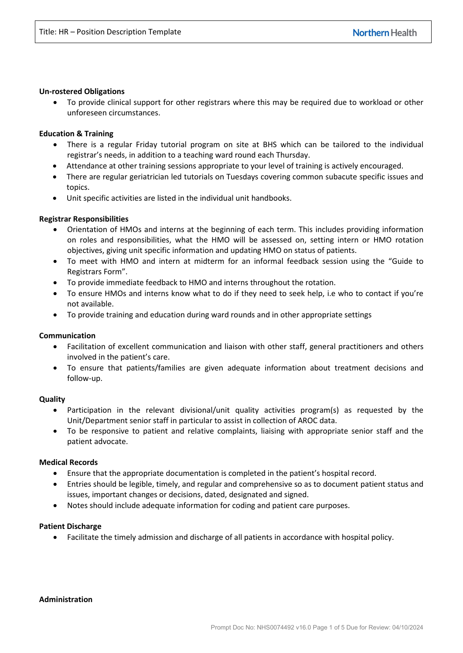#### **Un-rostered Obligations**

• To provide clinical support for other registrars where this may be required due to workload or other unforeseen circumstances.

## **Education & Training**

- There is a regular Friday tutorial program on site at BHS which can be tailored to the individual registrar's needs, in addition to a teaching ward round each Thursday.
- Attendance at other training sessions appropriate to your level of training is actively encouraged.
- There are regular geriatrician led tutorials on Tuesdays covering common subacute specific issues and topics.
- Unit specific activities are listed in the individual unit handbooks.

#### **Registrar Responsibilities**

- Orientation of HMOs and interns at the beginning of each term. This includes providing information on roles and responsibilities, what the HMO will be assessed on, setting intern or HMO rotation objectives, giving unit specific information and updating HMO on status of patients.
- To meet with HMO and intern at midterm for an informal feedback session using the "Guide to Registrars Form".
- To provide immediate feedback to HMO and interns throughout the rotation.
- To ensure HMOs and interns know what to do if they need to seek help, i.e who to contact if you're not available.
- To provide training and education during ward rounds and in other appropriate settings

## **Communication**

- Facilitation of excellent communication and liaison with other staff, general practitioners and others involved in the patient's care.
- To ensure that patients/families are given adequate information about treatment decisions and follow-up.

## **Quality**

- Participation in the relevant divisional/unit quality activities program(s) as requested by the Unit/Department senior staff in particular to assist in collection of AROC data.
- To be responsive to patient and relative complaints, liaising with appropriate senior staff and the patient advocate.

## **Medical Records**

- Ensure that the appropriate documentation is completed in the patient's hospital record.
- Entries should be legible, timely, and regular and comprehensive so as to document patient status and issues, important changes or decisions, dated, designated and signed.
- Notes should include adequate information for coding and patient care purposes.

## **Patient Discharge**

• Facilitate the timely admission and discharge of all patients in accordance with hospital policy.